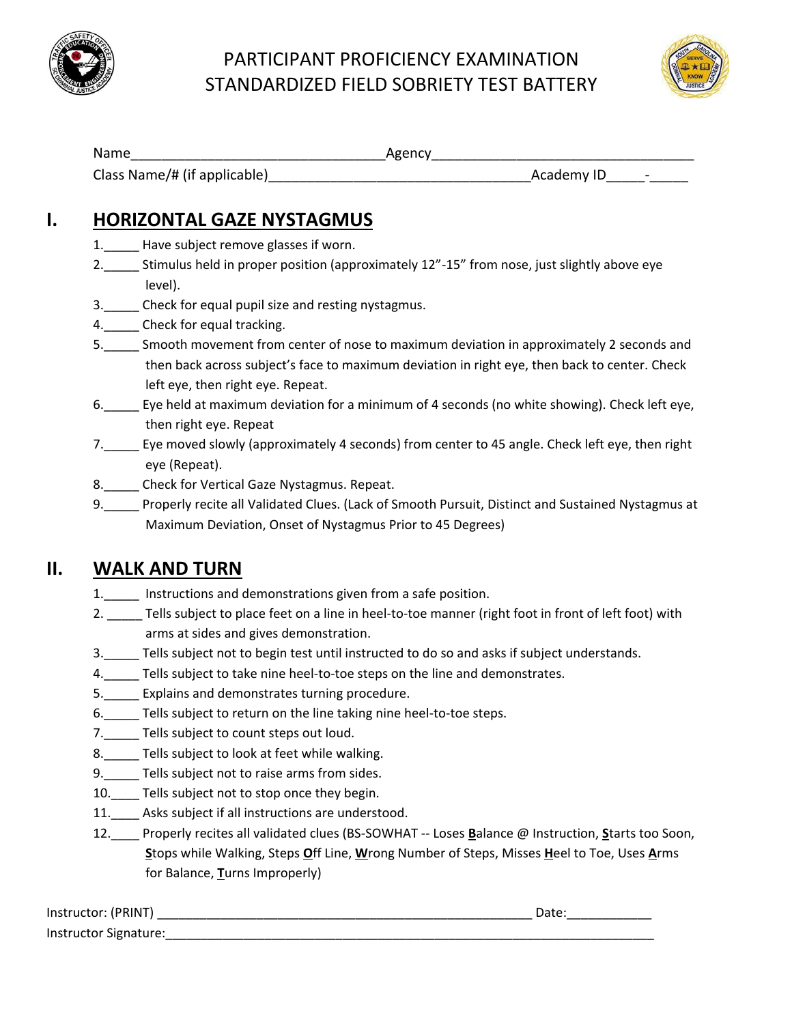

## PARTICIPANT PROFICIENCY EXAMINATION STANDARDIZED FIELD SOBRIETY TEST BATTERY



| Name                         | Agency                                 |
|------------------------------|----------------------------------------|
| Class Name/# (if applicable) | Academy ID<br>$\overline{\phantom{a}}$ |

#### **I. HORIZONTAL GAZE NYSTAGMUS**

- 1. Have subject remove glasses if worn.
- 2.\_\_\_\_\_ Stimulus held in proper position (approximately 12"-15" from nose, just slightly above eye level).
- 3.\_\_\_\_\_ Check for equal pupil size and resting nystagmus.
- 4.\_\_\_\_\_\_\_ Check for equal tracking.
- 5.\_\_\_\_\_ Smooth movement from center of nose to maximum deviation in approximately 2 seconds and then back across subject's face to maximum deviation in right eye, then back to center. Check left eye, then right eye. Repeat.
- 6.\_\_\_\_\_ Eye held at maximum deviation for a minimum of 4 seconds (no white showing). Check left eye, then right eye. Repeat
- 7.\_\_\_\_\_ Eye moved slowly (approximately 4 seconds) from center to 45 angle. Check left eye, then right eye (Repeat).
- 8. Check for Vertical Gaze Nystagmus. Repeat.
- 9. Properly recite all Validated Clues. (Lack of Smooth Pursuit, Distinct and Sustained Nystagmus at Maximum Deviation, Onset of Nystagmus Prior to 45 Degrees)

### **II. WALK AND TURN**

- 1.\_\_\_\_\_ Instructions and demonstrations given from a safe position.
- 2. Tells subject to place feet on a line in heel-to-toe manner (right foot in front of left foot) with arms at sides and gives demonstration.
- 3.\_\_\_\_\_ Tells subject not to begin test until instructed to do so and asks if subject understands.
- 4.\_\_\_\_\_ Tells subject to take nine heel-to-toe steps on the line and demonstrates.
- 5.\_\_\_\_\_ Explains and demonstrates turning procedure.
- 6.\_\_\_\_\_ Tells subject to return on the line taking nine heel-to-toe steps.
- 7.\_\_\_\_\_ Tells subject to count steps out loud.
- 8. Tells subject to look at feet while walking.
- 9.\_\_\_\_\_ Tells subject not to raise arms from sides.
- 10.\_\_\_\_ Tells subject not to stop once they begin.
- 11. Asks subject if all instructions are understood.
- 12.\_\_\_\_ Properly recites all validated clues (BS-SOWHAT -- Loses **B**alance @ Instruction, **S**tarts too Soon, **S**tops while Walking, Steps **O**ff Line, **W**rong Number of Steps, Misses **H**eel to Toe, Uses **A**rms for Balance, **T**urns Improperly)

| Instructor: (PRINT)   | Date: |
|-----------------------|-------|
| Instructor Signature: |       |